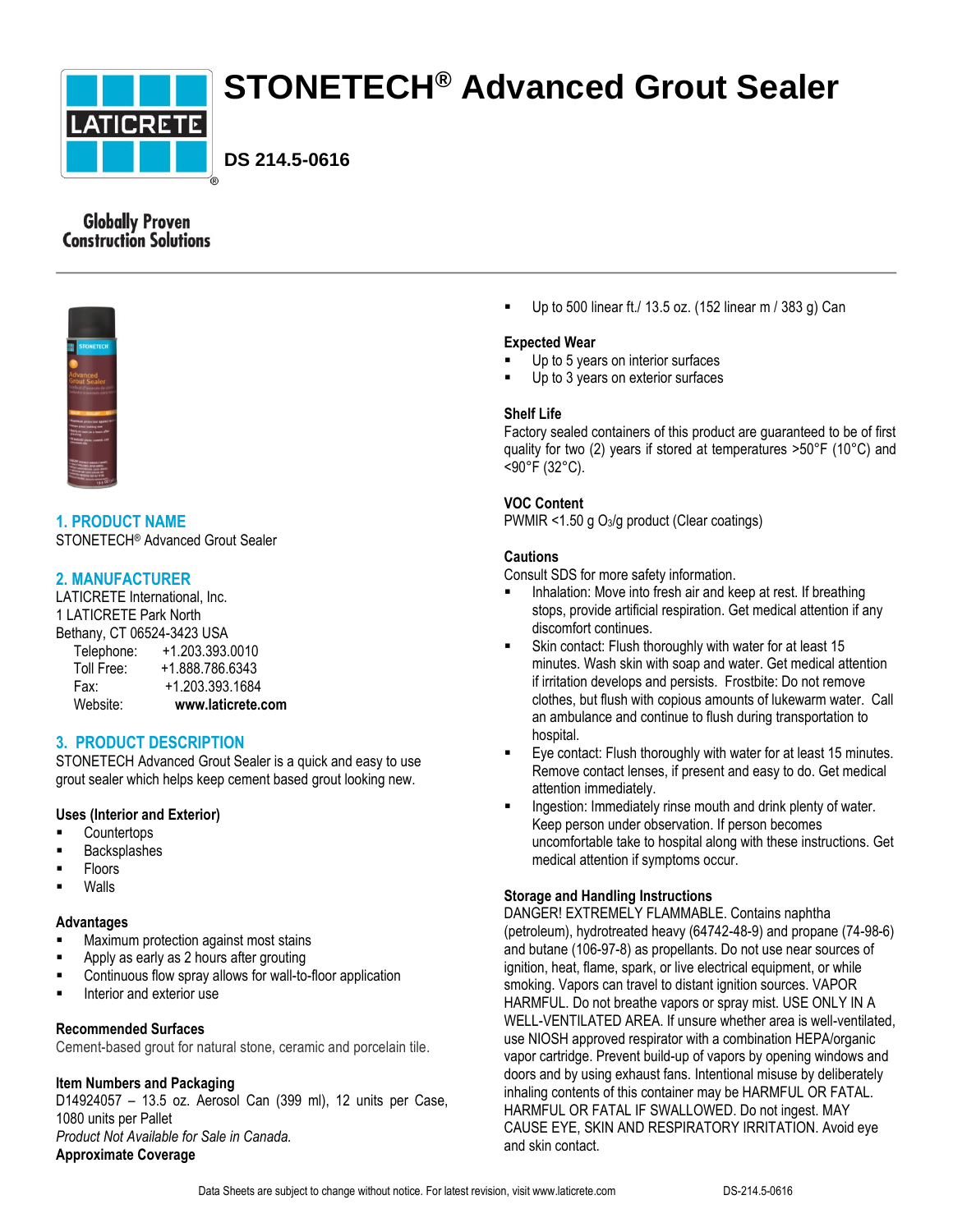

# **STONETECH® Advanced Grout Sealer**

**DS 214.5-0616**

# **Globally Proven Construction Solutions**



**1. PRODUCT NAME** STONETECH® Advanced Grout Sealer

# **2. MANUFACTURER**

LATICRETE International, Inc. 1 LATICRETE Park North Bethany, CT 06524-3423 USA

| Website:   | www.laticrete.com |
|------------|-------------------|
| Fax:       | +1.203.393.1684   |
| Toll Free: | +1.888.786.6343   |
| Telephone: | +1.203.393.0010   |

# **3. PRODUCT DESCRIPTION**

STONETECH Advanced Grout Sealer is a quick and easy to use grout sealer which helps keep cement based grout looking new.

## **Uses (Interior and Exterior)**

- **Countertops**
- **Backsplashes**
- Floors
- Walls

## **Advantages**

- Maximum protection against most stains
- Apply as early as 2 hours after grouting
- Continuous flow spray allows for wall-to-floor application
- **Interior and exterior use**

## **Recommended Surfaces**

Cement-based grout for natural stone, ceramic and porcelain tile.

#### **Item Numbers and Packaging**

D14924057 – 13.5 oz. Aerosol Can (399 ml), 12 units per Case, 1080 units per Pallet *Product Not Available for Sale in Canada.* **Approximate Coverage**

Up to 500 linear ft./ 13.5 oz. (152 linear m / 383 g) Can

## **Expected Wear**

- Up to 5 years on interior surfaces
- Up to 3 years on exterior surfaces

## **Shelf Life**

Factory sealed containers of this product are guaranteed to be of first quality for two (2) years if stored at temperatures >50°F (10°C) and <90°F (32°C).

## **VOC Content**

PWMIR <1.50 g O3/g product (Clear coatings)

## **Cautions**

Consult SDS for more safety information.

- Inhalation: Move into fresh air and keep at rest. If breathing stops, provide artificial respiration. Get medical attention if any discomfort continues.
- Skin contact: Flush thoroughly with water for at least 15 minutes. Wash skin with soap and water. Get medical attention if irritation develops and persists. Frostbite: Do not remove clothes, but flush with copious amounts of lukewarm water. Call an ambulance and continue to flush during transportation to hospital.
- Eye contact: Flush thoroughly with water for at least 15 minutes. Remove contact lenses, if present and easy to do. Get medical attention immediately.
- **Ingestion: Immediately rinse mouth and drink plenty of water.** Keep person under observation. If person becomes uncomfortable take to hospital along with these instructions. Get medical attention if symptoms occur.

## **Storage and Handling Instructions**

DANGER! EXTREMELY FLAMMABLE. Contains naphtha (petroleum), hydrotreated heavy (64742-48-9) and propane (74-98-6) and butane (106-97-8) as propellants. Do not use near sources of ignition, heat, flame, spark, or live electrical equipment, or while smoking. Vapors can travel to distant ignition sources. VAPOR HARMFUL. Do not breathe vapors or spray mist. USE ONLY IN A WELL-VENTILATED AREA. If unsure whether area is well-ventilated, use NIOSH approved respirator with a combination HEPA/organic vapor cartridge. Prevent build-up of vapors by opening windows and doors and by using exhaust fans. Intentional misuse by deliberately inhaling contents of this container may be HARMFUL OR FATAL. HARMFUL OR FATAL IF SWALLOWED. Do not ingest. MAY CAUSE EYE, SKIN AND RESPIRATORY IRRITATION. Avoid eye and skin contact.